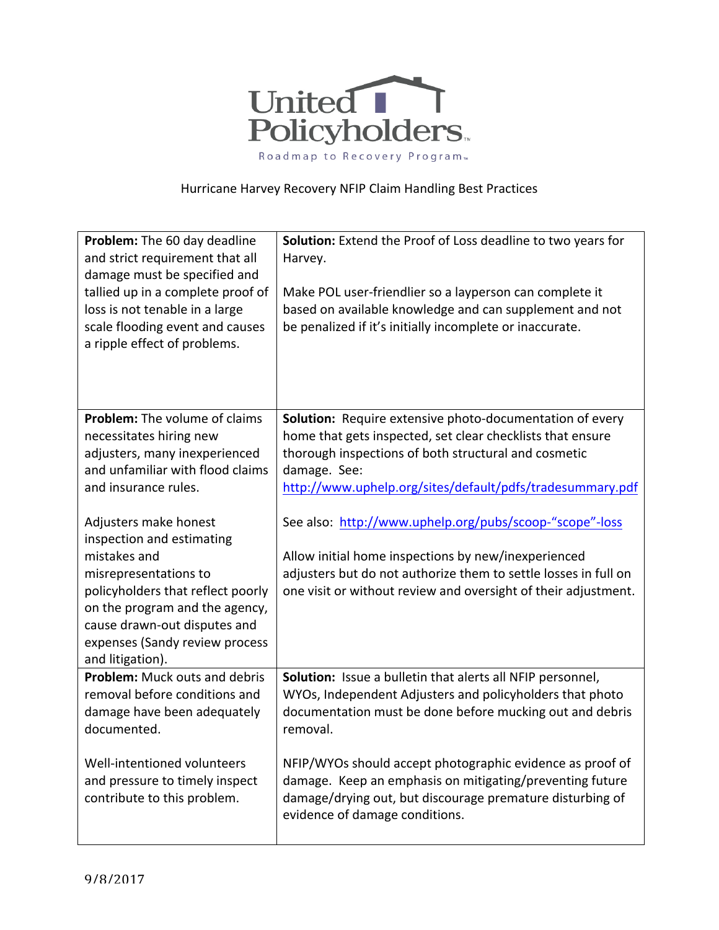

## Hurricane Harvey Recovery NFIP Claim Handling Best Practices

| Problem: The 60 day deadline<br>and strict requirement that all<br>damage must be specified and<br>tallied up in a complete proof of<br>loss is not tenable in a large<br>scale flooding event and causes<br>a ripple effect of problems.                                                 | Solution: Extend the Proof of Loss deadline to two years for<br>Harvey.<br>Make POL user-friendlier so a layperson can complete it<br>based on available knowledge and can supplement and not<br>be penalized if it's initially incomplete or inaccurate. |
|-------------------------------------------------------------------------------------------------------------------------------------------------------------------------------------------------------------------------------------------------------------------------------------------|-----------------------------------------------------------------------------------------------------------------------------------------------------------------------------------------------------------------------------------------------------------|
| Problem: The volume of claims                                                                                                                                                                                                                                                             | Solution: Require extensive photo-documentation of every                                                                                                                                                                                                  |
|                                                                                                                                                                                                                                                                                           |                                                                                                                                                                                                                                                           |
| necessitates hiring new                                                                                                                                                                                                                                                                   | home that gets inspected, set clear checklists that ensure                                                                                                                                                                                                |
| adjusters, many inexperienced                                                                                                                                                                                                                                                             | thorough inspections of both structural and cosmetic                                                                                                                                                                                                      |
| and unfamiliar with flood claims                                                                                                                                                                                                                                                          | damage. See:                                                                                                                                                                                                                                              |
| and insurance rules.                                                                                                                                                                                                                                                                      | http://www.uphelp.org/sites/default/pdfs/tradesummary.pdf                                                                                                                                                                                                 |
| Adjusters make honest<br>inspection and estimating<br>mistakes and<br>misrepresentations to<br>policyholders that reflect poorly<br>on the program and the agency,<br>cause drawn-out disputes and<br>expenses (Sandy review process<br>and litigation).<br>Problem: Muck outs and debris | See also: http://www.uphelp.org/pubs/scoop-"scope"-loss<br>Allow initial home inspections by new/inexperienced<br>adjusters but do not authorize them to settle losses in full on<br>one visit or without review and oversight of their adjustment.       |
|                                                                                                                                                                                                                                                                                           | Solution: Issue a bulletin that alerts all NFIP personnel,                                                                                                                                                                                                |
| removal before conditions and                                                                                                                                                                                                                                                             | WYOs, Independent Adjusters and policyholders that photo                                                                                                                                                                                                  |
| damage have been adequately                                                                                                                                                                                                                                                               | documentation must be done before mucking out and debris                                                                                                                                                                                                  |
| documented.                                                                                                                                                                                                                                                                               | removal.                                                                                                                                                                                                                                                  |
|                                                                                                                                                                                                                                                                                           |                                                                                                                                                                                                                                                           |
| Well-intentioned volunteers                                                                                                                                                                                                                                                               | NFIP/WYOs should accept photographic evidence as proof of                                                                                                                                                                                                 |
| and pressure to timely inspect                                                                                                                                                                                                                                                            | damage. Keep an emphasis on mitigating/preventing future                                                                                                                                                                                                  |
| contribute to this problem.                                                                                                                                                                                                                                                               | damage/drying out, but discourage premature disturbing of                                                                                                                                                                                                 |
|                                                                                                                                                                                                                                                                                           | evidence of damage conditions.                                                                                                                                                                                                                            |
|                                                                                                                                                                                                                                                                                           |                                                                                                                                                                                                                                                           |
|                                                                                                                                                                                                                                                                                           |                                                                                                                                                                                                                                                           |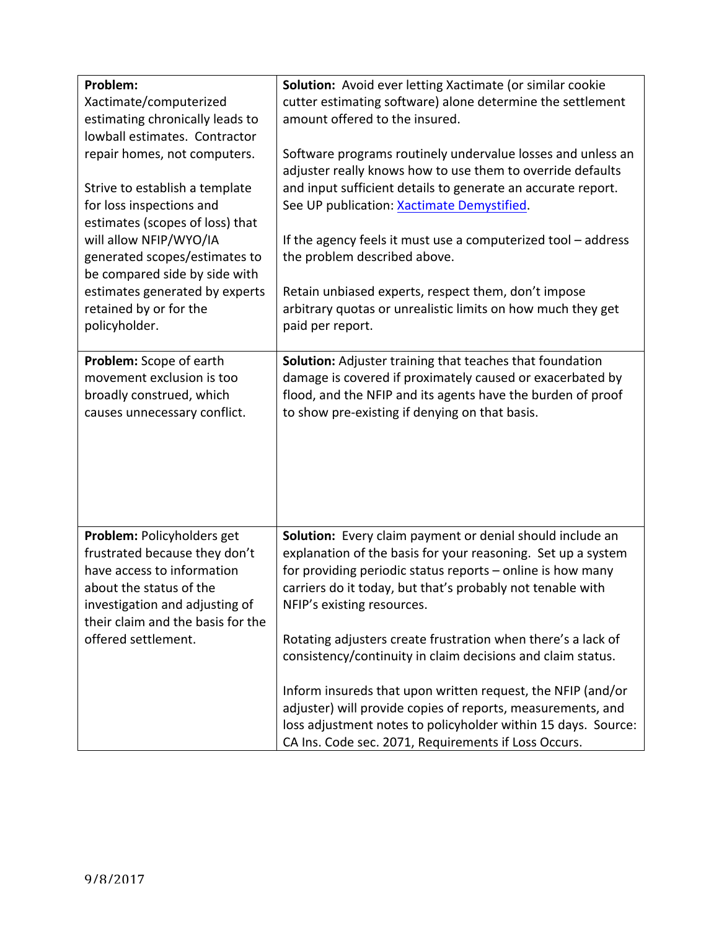| Problem:<br>Xactimate/computerized<br>estimating chronically leads to<br>lowball estimates. Contractor                                                                                                             | Solution: Avoid ever letting Xactimate (or similar cookie<br>cutter estimating software) alone determine the settlement<br>amount offered to the insured.                                                                                                                           |
|--------------------------------------------------------------------------------------------------------------------------------------------------------------------------------------------------------------------|-------------------------------------------------------------------------------------------------------------------------------------------------------------------------------------------------------------------------------------------------------------------------------------|
| repair homes, not computers.<br>Strive to establish a template<br>for loss inspections and<br>estimates (scopes of loss) that                                                                                      | Software programs routinely undervalue losses and unless an<br>adjuster really knows how to use them to override defaults<br>and input sufficient details to generate an accurate report.<br>See UP publication: Xactimate Demystified.                                             |
| will allow NFIP/WYO/IA<br>generated scopes/estimates to<br>be compared side by side with                                                                                                                           | If the agency feels it must use a computerized tool - address<br>the problem described above.                                                                                                                                                                                       |
| estimates generated by experts<br>retained by or for the<br>policyholder.                                                                                                                                          | Retain unbiased experts, respect them, don't impose<br>arbitrary quotas or unrealistic limits on how much they get<br>paid per report.                                                                                                                                              |
| Problem: Scope of earth<br>movement exclusion is too<br>broadly construed, which<br>causes unnecessary conflict.                                                                                                   | <b>Solution:</b> Adjuster training that teaches that foundation<br>damage is covered if proximately caused or exacerbated by<br>flood, and the NFIP and its agents have the burden of proof<br>to show pre-existing if denying on that basis.                                       |
| Problem: Policyholders get<br>frustrated because they don't<br>have access to information<br>about the status of the<br>investigation and adjusting of<br>their claim and the basis for the<br>offered settlement. | Solution: Every claim payment or denial should include an<br>explanation of the basis for your reasoning. Set up a system<br>for providing periodic status reports - online is how many<br>carriers do it today, but that's probably not tenable with<br>NFIP's existing resources. |
|                                                                                                                                                                                                                    | Rotating adjusters create frustration when there's a lack of<br>consistency/continuity in claim decisions and claim status.                                                                                                                                                         |
|                                                                                                                                                                                                                    | Inform insureds that upon written request, the NFIP (and/or<br>adjuster) will provide copies of reports, measurements, and<br>loss adjustment notes to policyholder within 15 days. Source:<br>CA Ins. Code sec. 2071, Requirements if Loss Occurs.                                 |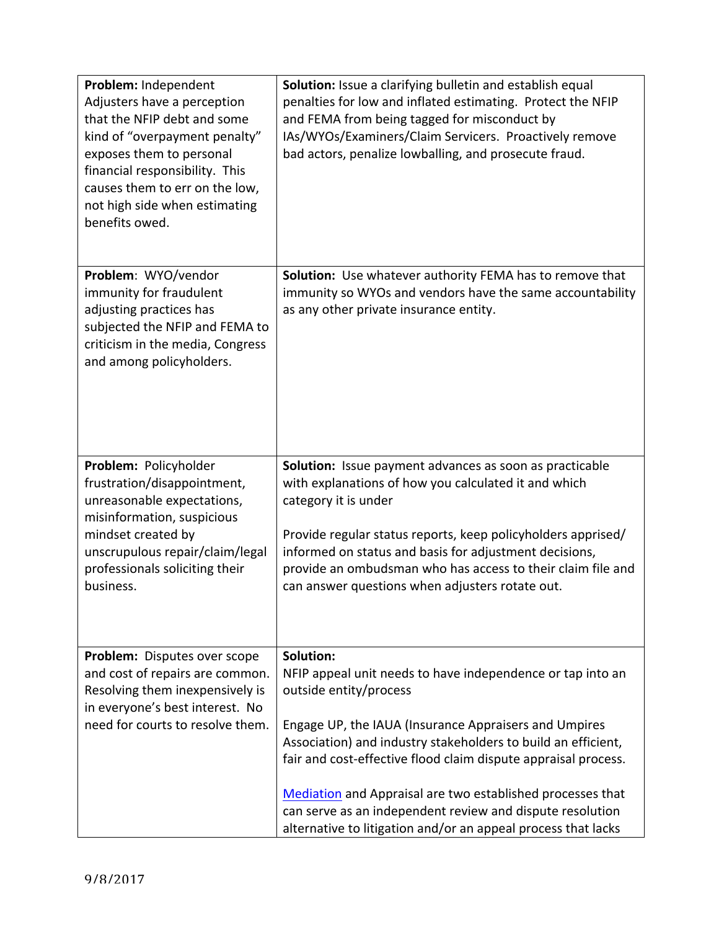| Problem: Independent<br>Adjusters have a perception<br>that the NFIP debt and some<br>kind of "overpayment penalty"<br>exposes them to personal<br>financial responsibility. This<br>causes them to err on the low,<br>not high side when estimating<br>benefits owed. | Solution: Issue a clarifying bulletin and establish equal<br>penalties for low and inflated estimating. Protect the NFIP<br>and FEMA from being tagged for misconduct by<br>IAs/WYOs/Examiners/Claim Servicers. Proactively remove<br>bad actors, penalize lowballing, and prosecute fraud.                                                                                                                                                                                               |
|------------------------------------------------------------------------------------------------------------------------------------------------------------------------------------------------------------------------------------------------------------------------|-------------------------------------------------------------------------------------------------------------------------------------------------------------------------------------------------------------------------------------------------------------------------------------------------------------------------------------------------------------------------------------------------------------------------------------------------------------------------------------------|
| Problem: WYO/vendor<br>immunity for fraudulent<br>adjusting practices has<br>subjected the NFIP and FEMA to<br>criticism in the media, Congress<br>and among policyholders.                                                                                            | Solution: Use whatever authority FEMA has to remove that<br>immunity so WYOs and vendors have the same accountability<br>as any other private insurance entity.                                                                                                                                                                                                                                                                                                                           |
| Problem: Policyholder<br>frustration/disappointment,<br>unreasonable expectations,<br>misinformation, suspicious<br>mindset created by<br>unscrupulous repair/claim/legal<br>professionals soliciting their<br>business.                                               | Solution: Issue payment advances as soon as practicable<br>with explanations of how you calculated it and which<br>category it is under<br>Provide regular status reports, keep policyholders apprised/<br>informed on status and basis for adjustment decisions,<br>provide an ombudsman who has access to their claim file and<br>can answer questions when adjusters rotate out.                                                                                                       |
| Problem: Disputes over scope<br>and cost of repairs are common.<br>Resolving them inexpensively is<br>in everyone's best interest. No<br>need for courts to resolve them.                                                                                              | Solution:<br>NFIP appeal unit needs to have independence or tap into an<br>outside entity/process<br>Engage UP, the IAUA (Insurance Appraisers and Umpires<br>Association) and industry stakeholders to build an efficient,<br>fair and cost-effective flood claim dispute appraisal process.<br>Mediation and Appraisal are two established processes that<br>can serve as an independent review and dispute resolution<br>alternative to litigation and/or an appeal process that lacks |